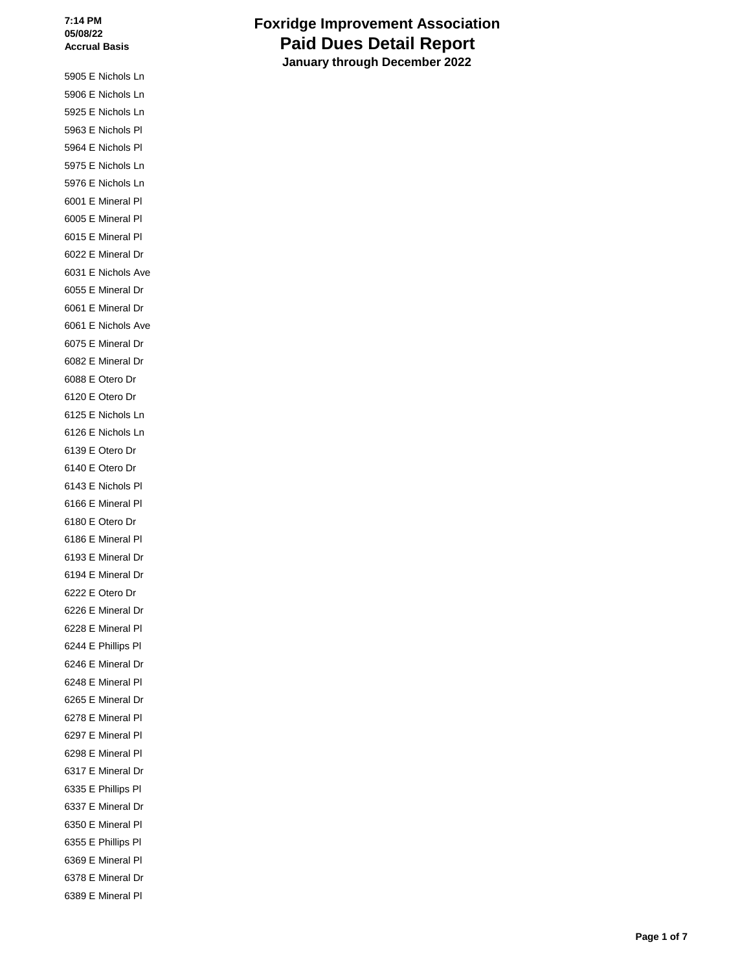5905 E Nichols Ln 5906 E Nichols Ln 5925 E Nichols Ln 5963 E Nichols Pl 5964 E Nichols Pl 5975 E Nichols Ln 5976 E Nichols Ln 6001 E Mineral Pl 6005 E Mineral Pl 6015 E Mineral Pl 6022 E Mineral Dr 6031 E Nichols Ave 6055 E Mineral Dr 6061 E Mineral Dr 6061 E Nichols Ave 6075 E Mineral Dr 6082 E Mineral Dr 6088 E Otero Dr 6120 E Otero Dr 6125 E Nichols Ln 6126 E Nichols Ln 6139 E Otero Dr 6140 E Otero Dr 6143 E Nichols Pl 6166 E Mineral Pl 6180 E Otero Dr 6186 E Mineral Pl 6193 E Mineral Dr 6194 E Mineral Dr 6222 E Otero Dr 6226 E Mineral Dr 6228 E Mineral Pl 6244 E Phillips Pl 6246 E Mineral Dr 6248 E Mineral Pl 6265 E Mineral Dr 6278 E Mineral Pl 6297 E Mineral Pl 6298 E Mineral Pl 6317 E Mineral Dr 6335 E Phillips Pl 6337 E Mineral Dr 6350 E Mineral Pl 6355 E Phillips Pl 6369 E Mineral Pl 6378 E Mineral Dr 6389 E Mineral Pl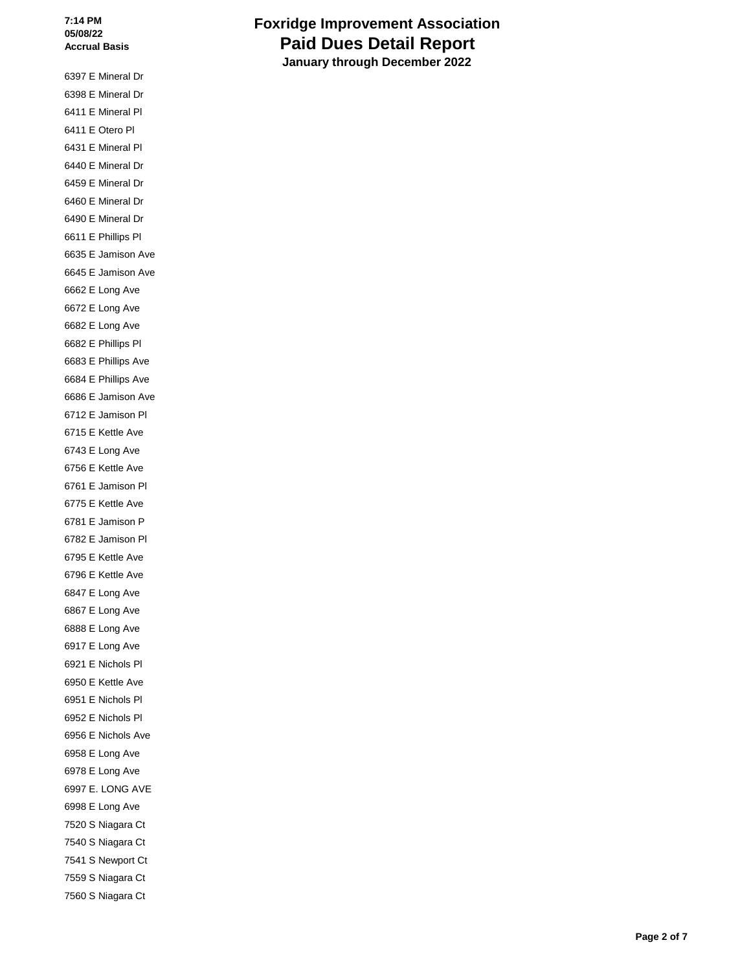6397 E Mineral Dr 6398 E Mineral Dr 6411 E Mineral Pl 6411 E Otero Pl 6431 E Mineral Pl 6440 E Mineral Dr 6459 E Mineral Dr 6460 E Mineral Dr 6490 E Mineral Dr 6611 E Phillips Pl 6635 E Jamison Ave 6645 E Jamison Ave 6662 E Long Ave 6672 E Long Ave 6682 E Long Ave 6682 E Phillips Pl 6683 E Phillips Ave 6684 E Phillips Ave 6686 E Jamison Ave 6712 E Jamison Pl 6715 E Kettle Ave 6743 E Long Ave 6756 E Kettle Ave 6761 E Jamison Pl 6775 E Kettle Ave 6781 E Jamison P 6782 E Jamison Pl 6795 E Kettle Ave 6796 E Kettle Ave 6847 E Long Ave 6867 E Long Ave 6888 E Long Ave 6917 E Long Ave 6921 E Nichols Pl 6950 E Kettle Ave 6951 E Nichols Pl 6952 E Nichols Pl 6956 E Nichols Ave 6958 E Long Ave 6978 E Long Ave 6997 E. LONG AVE 6998 E Long Ave 7520 S Niagara Ct 7540 S Niagara Ct 7541 S Newport Ct 7559 S Niagara Ct 7560 S Niagara Ct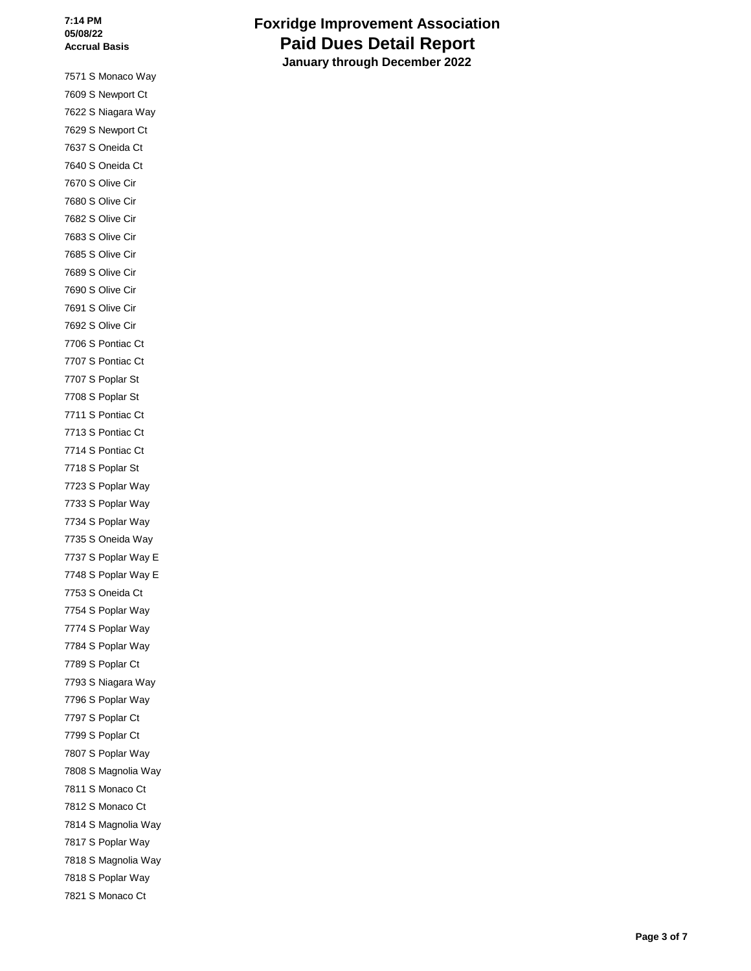7571 S Monaco Way 7609 S Newport Ct 7622 S Niagara Way 7629 S Newport Ct 7637 S Oneida Ct 7640 S Oneida Ct 7670 S Olive Cir 7680 S Olive Cir 7682 S Olive Cir 7683 S Olive Cir 7685 S Olive Cir 7689 S Olive Cir 7690 S Olive Cir 7691 S Olive Cir 7692 S Olive Cir 7706 S Pontiac Ct 7707 S Pontiac Ct 7707 S Poplar St 7708 S Poplar St 7711 S Pontiac Ct 7713 S Pontiac Ct 7714 S Pontiac Ct 7718 S Poplar St 7723 S Poplar Way 7733 S Poplar Way 7734 S Poplar Way 7735 S Oneida Way 7737 S Poplar Way E 7748 S Poplar Way E 7753 S Oneida Ct 7754 S Poplar Way 7774 S Poplar Way 7784 S Poplar Way 7789 S Poplar Ct 7793 S Niagara Way 7796 S Poplar Way 7797 S Poplar Ct 7799 S Poplar Ct 7807 S Poplar Way 7808 S Magnolia Way 7811 S Monaco Ct 7812 S Monaco Ct 7814 S Magnolia Way 7817 S Poplar Way 7818 S Magnolia Way 7818 S Poplar Way 7821 S Monaco Ct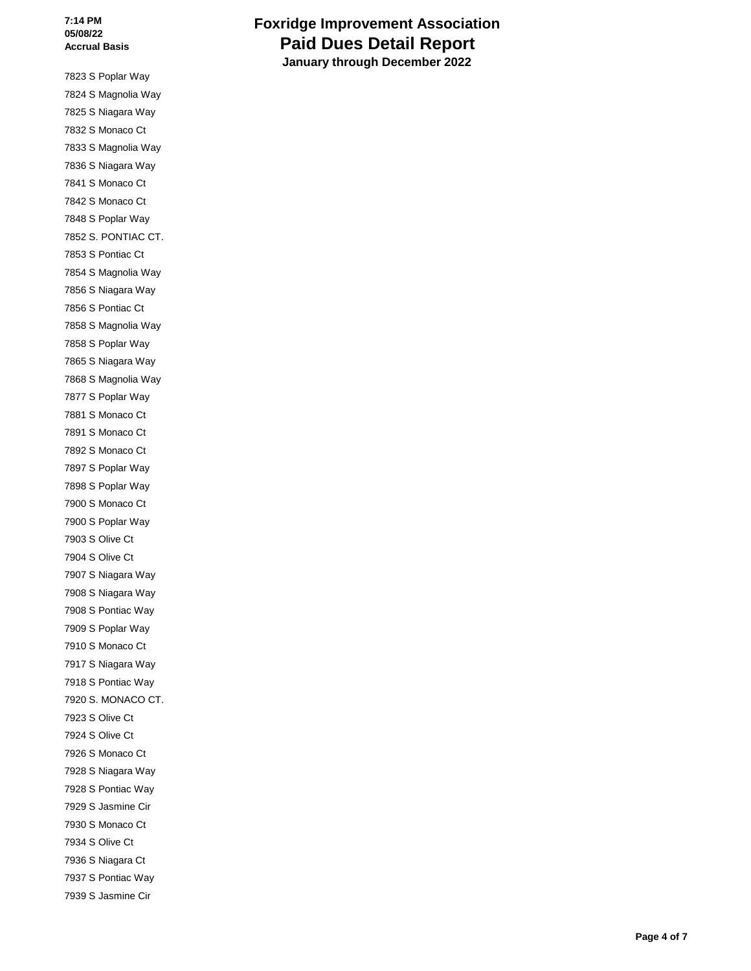7823 S Poplar Way 7824 S Magnolia Way 7825 S Niagara Way 7832 S Monaco Ct 7833 S Magnolia Way 7836 S Niagara Way 7841 S Monaco Ct 7842 S Monaco Ct 7848 S Poplar Way 7852 S. PONTIAC CT. 7853 S Pontiac Ct 7854 S Magnolia Way 7856 S Niagara Way 7856 S Pontiac Ct 7858 S Magnolia Way 7858 S Poplar Way 7865 S Niagara Way 7868 S Magnolia Way 7877 S Poplar Way 7881 S Monaco Ct 7891 S Monaco Ct 7892 S Monaco Ct 7897 S Poplar Way 7898 S Poplar Way 7900 S Monaco Ct 7900 S Poplar Way 7903 S Olive Ct 7904 S Olive Ct 7907 S Niagara Way 7908 S Niagara Way 7908 S Pontiac Way 7909 S Poplar Way 7910 S Monaco Ct 7917 S Niagara Way 7918 S Pontiac Way 7920 S. MONACO CT. 7923 S Olive Ct 7924 S Olive Ct 7926 S Monaco Ct 7928 S Niagara Way 7928 S Pontiac Way 7929 S Jasmine Cir 7930 S Monaco Ct 7934 S Olive Ct 7936 S Niagara Ct 7937 S Pontiac Way 7939 S Jasmine Cir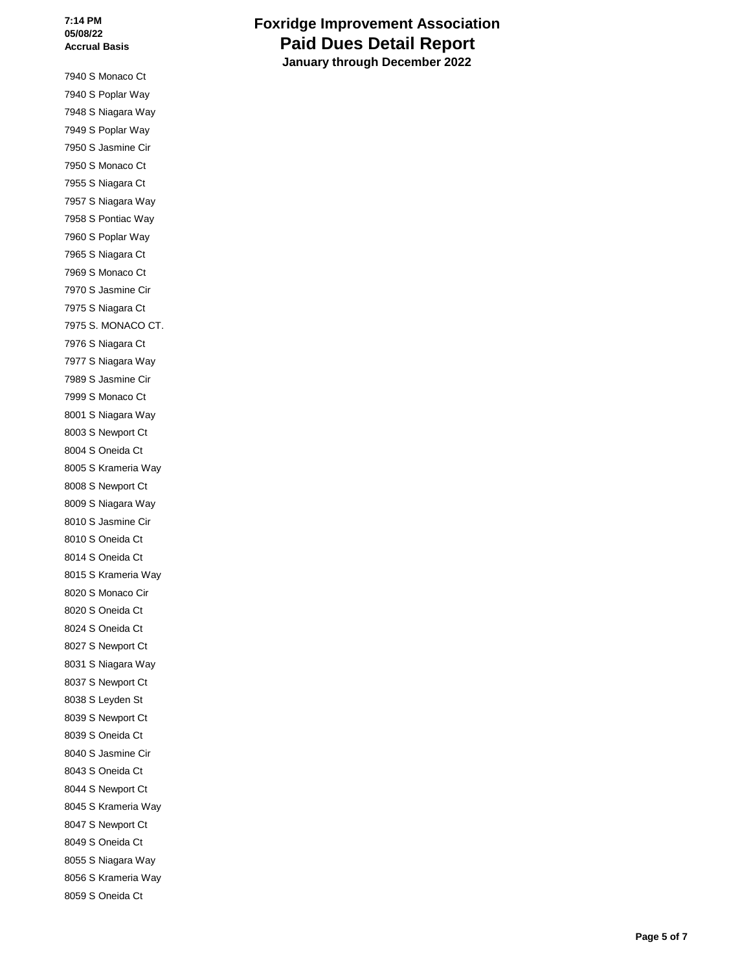7940 S Monaco Ct 7940 S Poplar Way 7948 S Niagara Way 7949 S Poplar Way 7950 S Jasmine Cir 7950 S Monaco Ct 7955 S Niagara Ct 7957 S Niagara Way 7958 S Pontiac Way 7960 S Poplar Way 7965 S Niagara Ct 7969 S Monaco Ct 7970 S Jasmine Cir 7975 S Niagara Ct 7975 S. MONACO CT. 7976 S Niagara Ct 7977 S Niagara Way 7989 S Jasmine Cir 7999 S Monaco Ct 8001 S Niagara Way 8003 S Newport Ct 8004 S Oneida Ct 8005 S Krameria Way 8008 S Newport Ct 8009 S Niagara Way 8010 S Jasmine Cir 8010 S Oneida Ct 8014 S Oneida Ct 8015 S Krameria Way 8020 S Monaco Cir 8020 S Oneida Ct 8024 S Oneida Ct 8027 S Newport Ct 8031 S Niagara Way 8037 S Newport Ct 8038 S Leyden St 8039 S Newport Ct 8039 S Oneida Ct 8040 S Jasmine Cir 8043 S Oneida Ct 8044 S Newport Ct 8045 S Krameria Way 8047 S Newport Ct 8049 S Oneida Ct 8055 S Niagara Way 8056 S Krameria Way 8059 S Oneida Ct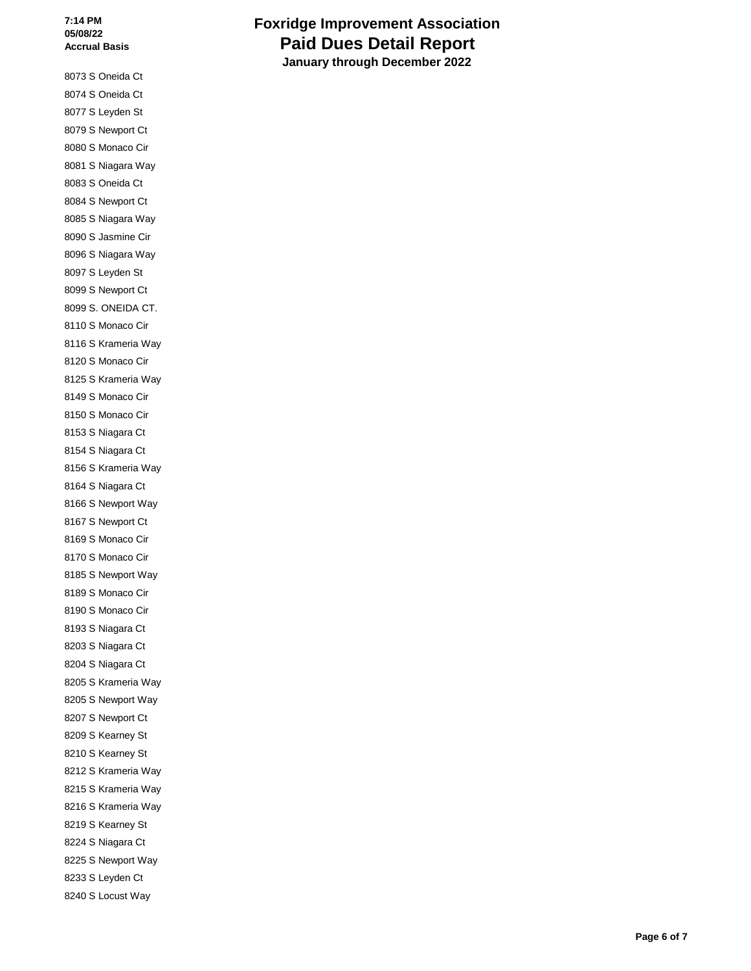8073 S Oneida Ct 8074 S Oneida Ct 8077 S Leyden St 8079 S Newport Ct 8080 S Monaco Cir 8081 S Niagara Way 8083 S Oneida Ct 8084 S Newport Ct 8085 S Niagara Way 8090 S Jasmine Cir 8096 S Niagara Way 8097 S Leyden St 8099 S Newport Ct 8099 S. ONEIDA CT. 8110 S Monaco Cir 8116 S Krameria Way 8120 S Monaco Cir 8125 S Krameria Way 8149 S Monaco Cir 8150 S Monaco Cir 8153 S Niagara Ct 8154 S Niagara Ct 8156 S Krameria Way 8164 S Niagara Ct 8166 S Newport Way 8167 S Newport Ct 8169 S Monaco Cir 8170 S Monaco Cir 8185 S Newport Way 8189 S Monaco Cir 8190 S Monaco Cir 8193 S Niagara Ct 8203 S Niagara Ct 8204 S Niagara Ct 8205 S Krameria Way 8205 S Newport Way 8207 S Newport Ct 8209 S Kearney St 8210 S Kearney St 8212 S Krameria Way 8215 S Krameria Way 8216 S Krameria Way 8219 S Kearney St 8224 S Niagara Ct 8225 S Newport Way 8233 S Leyden Ct 8240 S Locust Way